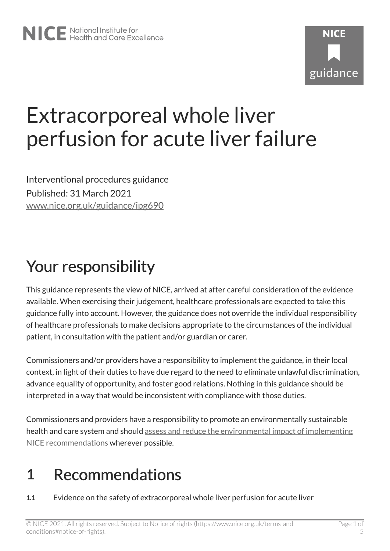# Extracorporeal whole liver perfusion for acute liver failure

Interventional procedures guidance Published: 31 March 2021 [www.nice.org.uk/guidance/ipg690](https://www.nice.org.uk/guidance/ipg690) 

# Your responsibility

This guidance represents the view of NICE, arrived at after careful consideration of the evidence available. When exercising their judgement, healthcare professionals are expected to take this guidance fully into account. However, the guidance does not override the individual responsibility of healthcare professionals to make decisions appropriate to the circumstances of the individual patient, in consultation with the patient and/or guardian or carer.

Commissioners and/or providers have a responsibility to implement the guidance, in their local context, in light of their duties to have due regard to the need to eliminate unlawful discrimination, advance equality of opportunity, and foster good relations. Nothing in this guidance should be interpreted in a way that would be inconsistent with compliance with those duties.

Commissioners and providers have a responsibility to promote an environmentally sustainable health and care system and should [assess and reduce the environmental impact of implementing](https://www.nice.org.uk/about/who-we-are/sustainability)  [NICE recommendations w](https://www.nice.org.uk/about/who-we-are/sustainability)herever possible.

### 1 Recommendations

1.1 Evidence on the safety of extracorporeal whole liver perfusion for acute liver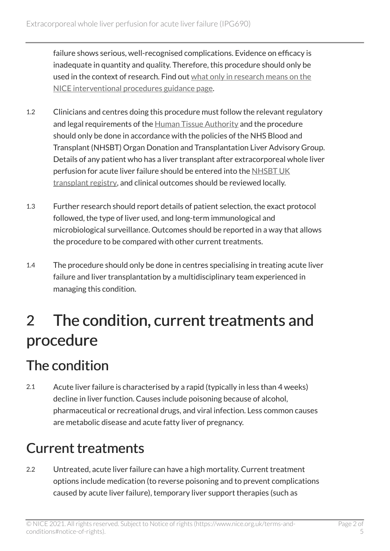failure shows serious, well-recognised complications. Evidence on efficacy is inadequate in quantity and quality. Therefore, this procedure should only be used in the context of research. Find out [what only in research means on the](https://www.nice.org.uk/about/what-we-do/our-programmes/nice-guidance/interventional-procedures-guidance/recommendations) [NICE interventional procedures guidance page.](https://www.nice.org.uk/about/what-we-do/our-programmes/nice-guidance/interventional-procedures-guidance/recommendations)

- 1.2 Clinicians and centres doing this procedure must follow the relevant regulatory and legal requirements of the [Human Tissue Authority](http://www.hta.gov.uk/) and the procedure should only be done in accordance with the policies of the NHS Blood and Transplant (NHSBT) Organ Donation and Transplantation Liver Advisory Group. Details of any patient who has a liver transplant after extracorporeal whole liver perfusion for acute liver failure should be entered into the [NHSBT UK](https://www.odt.nhs.uk/)  [transplant registry,](https://www.odt.nhs.uk/) and clinical outcomes should be reviewed locally.
- 1.3 Further research should report details of patient selection, the exact protocol followed, the type of liver used, and long-term immunological and microbiological surveillance. Outcomes should be reported in a way that allows the procedure to be compared with other current treatments.
- 1.4 The procedure should only be done in centres specialising in treating acute liver failure and liver transplantation by a multidisciplinary team experienced in managing this condition.

# 2 The condition, current treatments and procedure

#### The condition

2.1 Acute liver failure is characterised by a rapid (typically in less than 4 weeks) decline in liver function. Causes include poisoning because of alcohol, pharmaceutical or recreational drugs, and viral infection. Less common causes are metabolic disease and acute fatty liver of pregnancy.

#### Current treatments

2.2 Untreated, acute liver failure can have a high mortality. Current treatment options include medication (to reverse poisoning and to prevent complications caused by acute liver failure), temporary liver support therapies (such as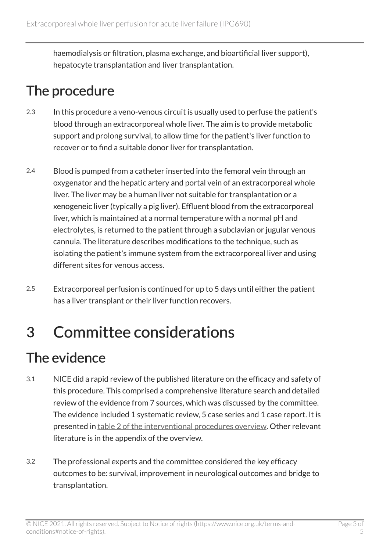haemodialysis or filtration, plasma exchange, and bioartificial liver support), hepatocyte transplantation and liver transplantation.

#### The procedure

- 2.3 In this procedure a veno-venous circuit is usually used to perfuse the patient's blood through an extracorporeal whole liver. The aim is to provide metabolic support and prolong survival, to allow time for the patient's liver function to recover or to find a suitable donor liver for transplantation.
- 2.4 Blood is pumped from a catheter inserted into the femoral vein through an oxygenator and the hepatic artery and portal vein of an extracorporeal whole liver. The liver may be a human liver not suitable for transplantation or a xenogeneic liver (typically a pig liver). Effluent blood from the extracorporeal liver, which is maintained at a normal temperature with a normal pH and electrolytes, is returned to the patient through a subclavian or jugular venous cannula. The literature describes modifications to the technique, such as isolating the patient's immune system from the extracorporeal liver and using different sites for venous access.
- 2.5 Extracorporeal perfusion is continued for up to 5 days until either the patient has a liver transplant or their liver function recovers.

### 3 Committee considerations

#### The evidence

- 3.1 NICE did a rapid review of the published literature on the efficacy and safety of this procedure. This comprised a comprehensive literature search and detailed review of the evidence from 7 sources, which was discussed by the committee. The evidence included 1 systematic review, 5 case series and 1 case report. It is presented in [table 2 of the interventional procedures overview](https://www.nice.org.uk/guidance/IPG690/evidence). Other relevant literature is in the appendix of the overview.
- 3.2 The professional experts and the committee considered the key efficacy outcomes to be: survival, improvement in neurological outcomes and bridge to transplantation.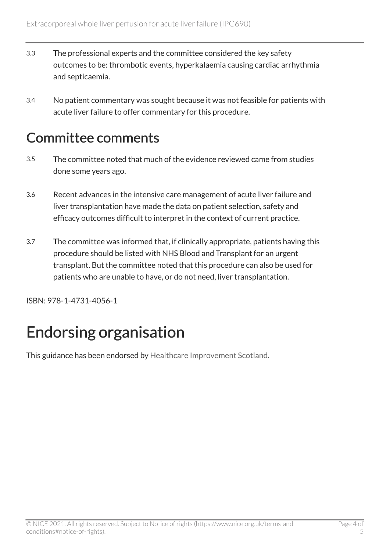- 3.3 The professional experts and the committee considered the key safety outcomes to be: thrombotic events, hyperkalaemia causing cardiac arrhythmia and septicaemia.
- 3.4 No patient commentary was sought because it was not feasible for patients with acute liver failure to offer commentary for this procedure.

#### Committee comments

- 3.5 The committee noted that much of the evidence reviewed came from studies done some years ago.
- 3.6 Recent advances in the intensive care management of acute liver failure and liver transplantation have made the data on patient selection, safety and efficacy outcomes difficult to interpret in the context of current practice.
- 3.7 The committee was informed that, if clinically appropriate, patients having this procedure should be listed with NHS Blood and Transplant for an urgent transplant. But the committee noted that this procedure can also be used for patients who are unable to have, or do not need, liver transplantation.

ISBN: 978-1-4731-4056-1

# Endorsing organisation

This guidance has been endorsed by [Healthcare Improvement Scotland.](http://www.healthcareimprovementscotland.org/)